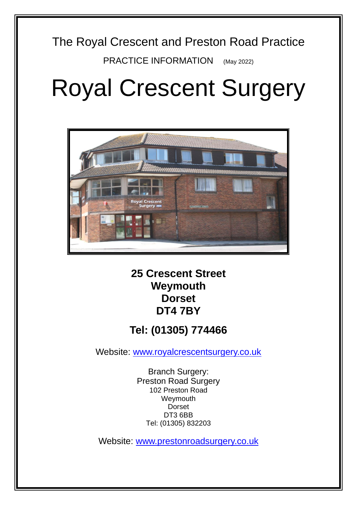# The Royal Crescent and Preston Road Practice

PRACTICE INFORMATION (May 2022)

# Royal Crescent Surgery



**25 Crescent Street Weymouth Dorset DT4 7BY**

# **Tel: (01305) 774466**

Website: [www.royalcrescentsurgery.co.uk](http://www.royalcrescentsurgery.co.uk/)

Branch Surgery: Preston Road Surgery 102 Preston Road Weymouth Dorset DT3 6BB Tel: (01305) 832203

Website: [www.prestonroadsurgery.co.uk](http://www.prestonroadsurgery.co.uk/)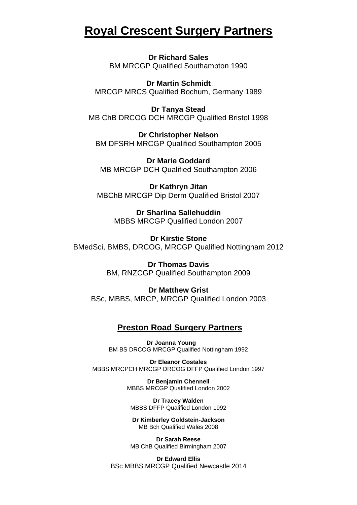# **Royal Crescent Surgery Partners**

**Dr Richard Sales**  BM MRCGP Qualified Southampton 1990

**Dr Martin Schmidt** MRCGP MRCS Qualified Bochum, Germany 1989

**Dr Tanya Stead** MB ChB DRCOG DCH MRCGP Qualified Bristol 1998

**Dr Christopher Nelson** BM DFSRH MRCGP Qualified Southampton 2005

**Dr Marie Goddard** MB MRCGP DCH Qualified Southampton 2006

**Dr Kathryn Jitan** MBChB MRCGP Dip Derm Qualified Bristol 2007

> **Dr Sharlina Sallehuddin** MBBS MRCGP Qualified London 2007

**Dr Kirstie Stone** BMedSci, BMBS, DRCOG, MRCGP Qualified Nottingham 2012

> **Dr Thomas Davis** BM, RNZCGP Qualified Southampton 2009

**Dr Matthew Grist** BSc, MBBS, MRCP, MRCGP Qualified London 2003

# **Preston Road Surgery Partners**

**Dr Joanna Young**  BM BS DRCOG MRCGP Qualified Nottingham 1992

**Dr Eleanor Costales** MBBS MRCPCH MRCGP DRCOG DFFP Qualified London 1997

> **Dr Benjamin Chennell** MBBS MRCGP Qualified London 2002

**Dr Tracey Walden** MBBS DFFP Qualified London 1992

**Dr Kimberley Goldstein-Jackson** MB Bch Qualified Wales 2008

**Dr Sarah Reese** MB ChB Qualified Birmingham 2007

**Dr Edward Ellis** BSc MBBS MRCGP Qualified Newcastle 2014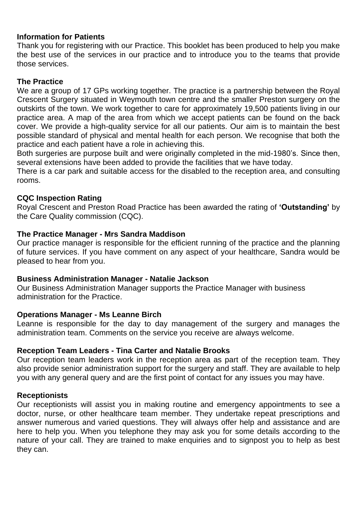# **Information for Patients**

Thank you for registering with our Practice. This booklet has been produced to help you make the best use of the services in our practice and to introduce you to the teams that provide those services.

# **The Practice**

We are a group of 17 GPs working together. The practice is a partnership between the Royal Crescent Surgery situated in Weymouth town centre and the smaller Preston surgery on the outskirts of the town. We work together to care for approximately 19,500 patients living in our practice area. A map of the area from which we accept patients can be found on the back cover. We provide a high-quality service for all our patients. Our aim is to maintain the best possible standard of physical and mental health for each person. We recognise that both the practice and each patient have a role in achieving this.

Both surgeries are purpose built and were originally completed in the mid-1980's. Since then, several extensions have been added to provide the facilities that we have today.

There is a car park and suitable access for the disabled to the reception area, and consulting rooms.

# **CQC Inspection Rating**

Royal Crescent and Preston Road Practice has been awarded the rating of **'Outstanding'** by the Care Quality commission (CQC).

# **The Practice Manager - Mrs Sandra Maddison**

Our practice manager is responsible for the efficient running of the practice and the planning of future services. If you have comment on any aspect of your healthcare, Sandra would be pleased to hear from you.

# **Business Administration Manager - Natalie Jackson**

Our Business Administration Manager supports the Practice Manager with business administration for the Practice.

# **Operations Manager - Ms Leanne Birch**

Leanne is responsible for the day to day management of the surgery and manages the administration team. Comments on the service you receive are always welcome.

# **Reception Team Leaders - Tina Carter and Natalie Brooks**

Our reception team leaders work in the reception area as part of the reception team. They also provide senior administration support for the surgery and staff. They are available to help you with any general query and are the first point of contact for any issues you may have.

# **Receptionists**

Our receptionists will assist you in making routine and emergency appointments to see a doctor, nurse, or other healthcare team member. They undertake repeat prescriptions and answer numerous and varied questions. They will always offer help and assistance and are here to help you. When you telephone they may ask you for some details according to the nature of your call. They are trained to make enquiries and to signpost you to help as best they can.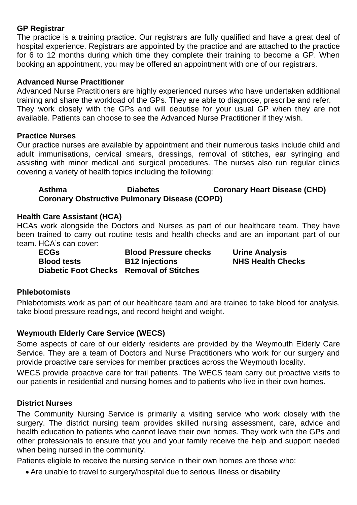# **GP Registrar**

The practice is a training practice. Our registrars are fully qualified and have a great deal of hospital experience. Registrars are appointed by the practice and are attached to the practice for 6 to 12 months during which time they complete their training to become a GP. When booking an appointment, you may be offered an appointment with one of our registrars.

# **Advanced Nurse Practitioner**

Advanced Nurse Practitioners are highly experienced nurses who have undertaken additional training and share the workload of the GPs. They are able to diagnose, prescribe and refer. They work closely with the GPs and will deputise for your usual GP when they are not available. Patients can choose to see the Advanced Nurse Practitioner if they wish.

# **Practice Nurses**

Our practice nurses are available by appointment and their numerous tasks include child and adult immunisations, cervical smears, dressings, removal of stitches, ear syringing and assisting with minor medical and surgical procedures. The nurses also run regular clinics covering a variety of health topics including the following:

# Asthma **Diabetes Coronary Heart Disease (CHD) Coronary Obstructive Pulmonary Disease (COPD)**

# **Health Care Assistant (HCA)**

HCAs work alongside the Doctors and Nurses as part of our healthcare team. They have been trained to carry out routine tests and health checks and are an important part of our team. HCA's can cover:

| <b>ECGs</b>                              | <b>Blood Pressure checks</b> |
|------------------------------------------|------------------------------|
| <b>Blood tests</b>                       | <b>B12 Injections</b>        |
| Diabetic Foot Checks Removal of Stitches |                              |

**Urine Analysis BIHS Health Checks** 

# **Phlebotomists**

Phlebotomists work as part of our healthcare team and are trained to take blood for analysis, take blood pressure readings, and record height and weight.

# **Weymouth Elderly Care Service (WECS)**

Some aspects of care of our elderly residents are provided by the Weymouth Elderly Care Service. They are a team of Doctors and Nurse Practitioners who work for our surgery and provide proactive care services for member practices across the Weymouth locality.

WECS provide proactive care for frail patients. The WECS team carry out proactive visits to our patients in residential and nursing homes and to patients who live in their own homes.

# **District Nurses**

The Community Nursing Service is primarily a visiting service who work closely with the surgery. The district nursing team provides skilled nursing assessment, care, advice and health education to patients who cannot leave their own homes. They work with the GPs and other professionals to ensure that you and your family receive the help and support needed when being nursed in the community.

Patients eligible to receive the nursing service in their own homes are those who:

• Are unable to travel to surgery/hospital due to serious illness or disability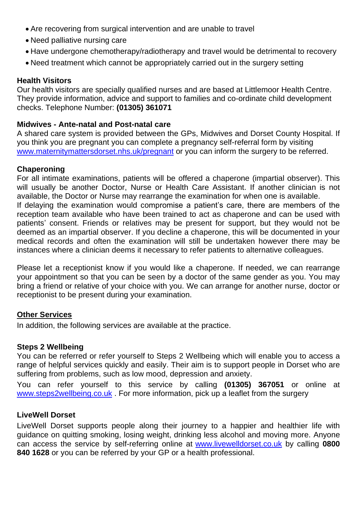- Are recovering from surgical intervention and are unable to travel
- Need palliative nursing care
- Have undergone chemotherapy/radiotherapy and travel would be detrimental to recovery
- Need treatment which cannot be appropriately carried out in the surgery setting

#### **Health Visitors**

Our health visitors are specially qualified nurses and are based at Littlemoor Health Centre. They provide information, advice and support to families and co-ordinate child development checks. Telephone Number: **(01305) 361071**

#### **Midwives - Ante-natal and Post-natal care**

A shared care system is provided between the GPs, Midwives and Dorset County Hospital. If you think you are pregnant you can complete a pregnancy self-referral form by visiting [www.maternitymattersdorset.nhs.uk/pregnant](http://www.maternitymattersdorset.nhs.uk/pregnant) or you can inform the surgery to be referred.

#### **Chaperoning**

For all intimate examinations, patients will be offered a chaperone (impartial observer). This will usually be another Doctor, Nurse or Health Care Assistant. If another clinician is not available, the Doctor or Nurse may rearrange the examination for when one is available. If delaying the examination would compromise a patient's care, there are members of the reception team available who have been trained to act as chaperone and can be used with patients' consent. Friends or relatives may be present for support, but they would not be deemed as an impartial observer. If you decline a chaperone, this will be documented in your medical records and often the examination will still be undertaken however there may be instances where a clinician deems it necessary to refer patients to alternative colleagues.

Please let a receptionist know if you would like a chaperone. If needed, we can rearrange your appointment so that you can be seen by a doctor of the same gender as you. You may bring a friend or relative of your choice with you. We can arrange for another nurse, doctor or receptionist to be present during your examination.

# **Other Services**

In addition, the following services are available at the practice.

# **Steps 2 Wellbeing**

You can be referred or refer yourself to Steps 2 Wellbeing which will enable you to access a range of helpful services quickly and easily. Their aim is to support people in Dorset who are suffering from problems, such as low mood, depression and anxiety.

You can refer yourself to this service by calling **(01305) 367051** or online at [www.steps2wellbeing.co.uk](http://www.steps2wellbeing.co.uk/) . For more information, pick up a leaflet from the surgery

# **LiveWell Dorset**

LiveWell Dorset supports people along their journey to a happier and healthier life with guidance on quitting smoking, losing weight, drinking less alcohol and moving more. Anyone can access the service by self-referring online at [www.livewelldorset.co.uk](http://www.livewelldorset.co.uk/) by calling **0800 840 1628** or you can be referred by your GP or a health professional.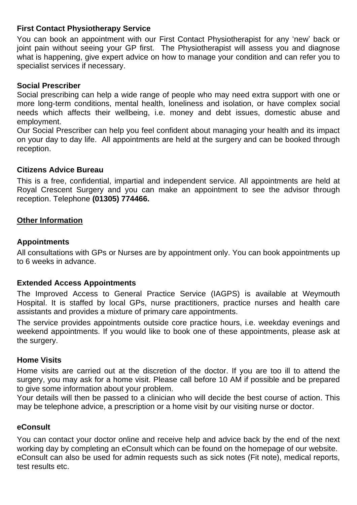# **First Contact Physiotherapy Service**

You can book an appointment with our First Contact Physiotherapist for any 'new' back or joint pain without seeing your GP first. The Physiotherapist will assess you and diagnose what is happening, give expert advice on how to manage your condition and can refer you to specialist services if necessary.

# **Social Prescriber**

Social prescribing can help a wide range of people who may need extra support with one or more long-term conditions, mental health, loneliness and isolation, or have complex social needs which affects their wellbeing, i.e. money and debt issues, domestic abuse and employment.

Our Social Prescriber can help you feel confident about managing your health and its impact on your day to day life. All appointments are held at the surgery and can be booked through reception.

#### **Citizens Advice Bureau**

This is a free, confidential, impartial and independent service. All appointments are held at Royal Crescent Surgery and you can make an appointment to see the advisor through reception. Telephone **(01305) 774466.**

# **Other Information**

#### **Appointments**

All consultations with GPs or Nurses are by appointment only. You can book appointments up to 6 weeks in advance.

# **Extended Access Appointments**

The Improved Access to General Practice Service (IAGPS) is available at Weymouth Hospital. It is staffed by local GPs, nurse practitioners, practice nurses and health care assistants and provides a mixture of primary care appointments.

The service provides appointments outside core practice hours, i.e. weekday evenings and weekend appointments. If you would like to book one of these appointments, please ask at the surgery.

#### **Home Visits**

Home visits are carried out at the discretion of the doctor. If you are too ill to attend the surgery, you may ask for a home visit. Please call before 10 AM if possible and be prepared to give some information about your problem.

Your details will then be passed to a clinician who will decide the best course of action. This may be telephone advice, a prescription or a home visit by our visiting nurse or doctor.

#### **eConsult**

You can contact your doctor online and receive help and advice back by the end of the next working day by completing an eConsult which can be found on the homepage of our website. eConsult can also be used for admin requests such as sick notes (Fit note), medical reports, test results etc.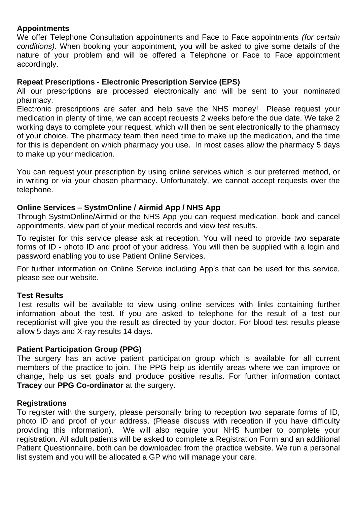# **Appointments**

We offer Telephone Consultation appointments and Face to Face appointments *(for certain conditions)*. When booking your appointment, you will be asked to give some details of the nature of your problem and will be offered a Telephone or Face to Face appointment accordingly.

# **Repeat Prescriptions - Electronic Prescription Service (EPS)**

All our prescriptions are processed electronically and will be sent to your nominated pharmacy.

Electronic prescriptions are safer and help save the NHS money! Please request your medication in plenty of time, we can accept requests 2 weeks before the due date. We take 2 working days to complete your request, which will then be sent electronically to the pharmacy of your choice. The pharmacy team then need time to make up the medication, and the time for this is dependent on which pharmacy you use. In most cases allow the pharmacy 5 days to make up your medication.

You can request your prescription by using online services which is our preferred method, or in writing or via your chosen pharmacy. Unfortunately, we cannot accept requests over the telephone.

# **Online Services – SystmOnline / Airmid App / NHS App**

Through SystmOnline/Airmid or the NHS App you can request medication, book and cancel appointments, view part of your medical records and view test results.

To register for this service please ask at reception. You will need to provide two separate forms of ID - photo ID and proof of your address. You will then be supplied with a login and password enabling you to use Patient Online Services.

For further information on Online Service including App's that can be used for this service, please see our website.

# **Test Results**

Test results will be available to view using online services with links containing further information about the test. If you are asked to telephone for the result of a test our receptionist will give you the result as directed by your doctor. For blood test results please allow 5 days and X-ray results 14 days.

# **Patient Participation Group (PPG)**

The surgery has an active patient participation group which is available for all current members of the practice to join. The PPG help us identify areas where we can improve or change, help us set goals and produce positive results. For further information contact **Tracey** our **PPG Co-ordinator** at the surgery.

# **Registrations**

To register with the surgery, please personally bring to reception two separate forms of ID, photo ID and proof of your address. (Please discuss with reception if you have difficulty providing this information). We will also require your NHS Number to complete your registration. All adult patients will be asked to complete a Registration Form and an additional Patient Questionnaire, both can be downloaded from the practice website. We run a personal list system and you will be allocated a GP who will manage your care.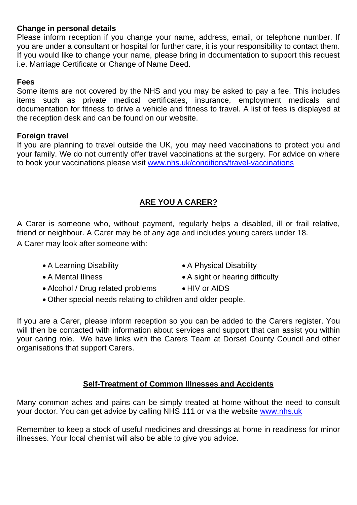# **Change in personal details**

Please inform reception if you change your name, address, email, or telephone number. If you are under a consultant or hospital for further care, it is your responsibility to contact them. If you would like to change your name, please bring in documentation to support this request i.e. Marriage Certificate or Change of Name Deed.

# **Fees**

Some items are not covered by the NHS and you may be asked to pay a fee. This includes items such as private medical certificates, insurance, employment medicals and documentation for fitness to drive a vehicle and fitness to travel. A list of fees is displayed at the reception desk and can be found on our website.

# **Foreign travel**

If you are planning to travel outside the UK, you may need vaccinations to protect you and your family. We do not currently offer travel vaccinations at the surgery. For advice on where to book your vaccinations please visit [www.nhs.uk/conditions/travel-vaccinations](http://www.nhs.uk/conditions/travel-vaccinations)

# **ARE YOU A CARER?**

A Carer is someone who, without payment, regularly helps a disabled, ill or frail relative, friend or neighbour. A Carer may be of any age and includes young carers under 18. A Carer may look after someone with:

- A Learning Disability A Physical Disability
- 
- Alcohol / Drug related problems HIV or AIDS
- 
- A Mental Illness A sight or hearing difficulty
	-
- Other special needs relating to children and older people.

If you are a Carer, please inform reception so you can be added to the Carers register. You will then be contacted with information about services and support that can assist you within your caring role. We have links with the Carers Team at Dorset County Council and other organisations that support Carers.

# **Self-Treatment of Common Illnesses and Accidents**

Many common aches and pains can be simply treated at home without the need to consult your doctor. You can get advice by calling NHS 111 or via the website [www.nhs.uk](http://www.nhs.uk/)

Remember to keep a stock of useful medicines and dressings at home in readiness for minor illnesses. Your local chemist will also be able to give you advice.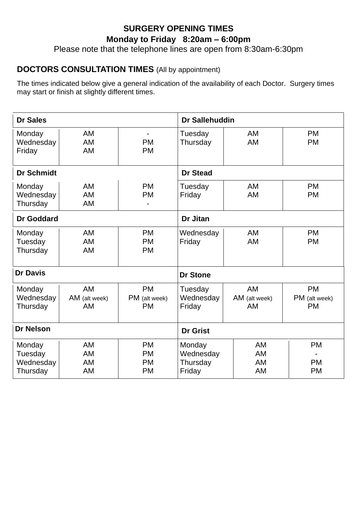# **SURGERY OPENING TIMES Monday to Friday 8:20am – 6:00pm**

Please note that the telephone lines are open from 8:30am-6:30pm

# **DOCTORS CONSULTATION TIMES** (All by appointment)

The times indicated below give a general indication of the availability of each Doctor. Surgery times may start or finish at slightly different times.

| <b>Dr Sales</b>                            |                              |                                                  | Dr Sallehuddin                            |                                         |                                         |
|--------------------------------------------|------------------------------|--------------------------------------------------|-------------------------------------------|-----------------------------------------|-----------------------------------------|
| Monday<br>Wednesday<br>Friday              | AM<br>AM<br><b>AM</b>        | ۰<br><b>PM</b><br><b>PM</b>                      | Tuesday<br>Thursday                       | <b>AM</b><br><b>AM</b>                  | <b>PM</b><br><b>PM</b>                  |
| <b>Dr Schmidt</b>                          |                              |                                                  | <b>Dr Stead</b>                           |                                         |                                         |
| Monday<br>Wednesday<br>Thursday            | AM<br>AM<br>AM               | <b>PM</b><br><b>PM</b>                           | Tuesday<br>Friday                         | <b>AM</b><br><b>AM</b>                  | <b>PM</b><br><b>PM</b>                  |
| Dr Goddard                                 |                              |                                                  | Dr Jitan                                  |                                         |                                         |
| Monday<br>Tuesday<br>Thursday              | <b>AM</b><br>AM<br><b>AM</b> | <b>PM</b><br><b>PM</b><br><b>PM</b>              | Wednesday<br>Friday                       | <b>AM</b><br>AM                         | <b>PM</b><br><b>PM</b>                  |
| <b>Dr Davis</b>                            |                              |                                                  | <b>Dr Stone</b>                           |                                         |                                         |
| Monday<br>Wednesday<br>Thursday            | AM<br>AM (alt week)<br>AM    | <b>PM</b><br>PM (alt week)<br><b>PM</b>          | Tuesday<br>Wednesday<br>Friday            | <b>AM</b><br>AM (alt week)<br><b>AM</b> | <b>PM</b><br>PM (alt week)<br><b>PM</b> |
| <b>Dr Nelson</b>                           |                              | <b>Dr Grist</b>                                  |                                           |                                         |                                         |
| Monday<br>Tuesday<br>Wednesday<br>Thursday | AM<br>AM<br><b>AM</b><br>AM  | <b>PM</b><br><b>PM</b><br><b>PM</b><br><b>PM</b> | Monday<br>Wednesday<br>Thursday<br>Friday | AM<br>AM<br>AM<br><b>AM</b>             | <b>PM</b><br><b>PM</b><br><b>PM</b>     |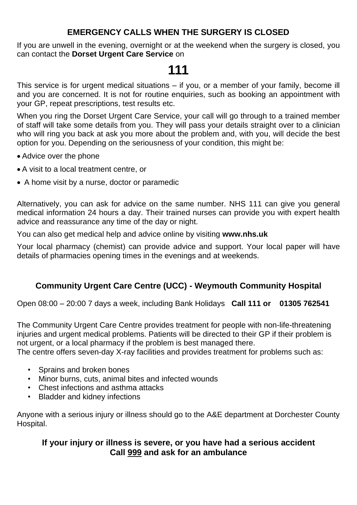# **EMERGENCY CALLS WHEN THE SURGERY IS CLOSED**

If you are unwell in the evening, overnight or at the weekend when the surgery is closed, you can contact the **Dorset Urgent Care Service** on

# **111**

This service is for urgent medical situations – if you, or a member of your family, become ill and you are concerned. It is not for routine enquiries, such as booking an appointment with your GP, repeat prescriptions, test results etc.

When you ring the Dorset Urgent Care Service, your call will go through to a trained member of staff will take some details from you. They will pass your details straight over to a clinician who will ring you back at ask you more about the problem and, with you, will decide the best option for you. Depending on the seriousness of your condition, this might be:

- Advice over the phone
- A visit to a local treatment centre, or
- A home visit by a nurse, doctor or paramedic

Alternatively, you can ask for advice on the same number. NHS 111 can give you general medical information 24 hours a day. Their trained nurses can provide you with expert health advice and reassurance any time of the day or night.

You can also get medical help and advice online by visiting **www.nhs.uk**

Your local pharmacy (chemist) can provide advice and support. Your local paper will have details of pharmacies opening times in the evenings and at weekends.

# **Community Urgent Care Centre (UCC) - Weymouth Community Hospital**

Open 08:00 – 20:00 7 days a week, including Bank Holidays **Call 111 or 01305 762541**

The Community Urgent Care Centre provides treatment for people with non-life-threatening injuries and urgent medical problems. Patients will be directed to their GP if their problem is not urgent, or a local pharmacy if the problem is best managed there.

The centre offers seven-day X-ray facilities and provides treatment for problems such as:

- Sprains and broken bones
- Minor burns, cuts, animal bites and infected wounds
- Chest infections and asthma attacks
- Bladder and kidney infections

Anyone with a serious injury or illness should go to the A&E department at Dorchester County Hospital.

# **If your injury or illness is severe, or you have had a serious accident Call 999 and ask for an ambulance**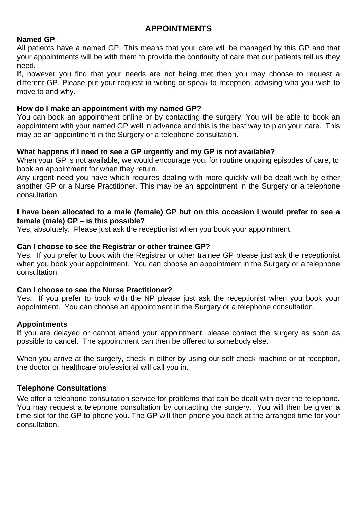# **APPOINTMENTS**

#### **Named GP**

All patients have a named GP. This means that your care will be managed by this GP and that your appointments will be with them to provide the continuity of care that our patients tell us they need.

If, however you find that your needs are not being met then you may choose to request a different GP. Please put your request in writing or speak to reception, advising who you wish to move to and why.

#### **How do I make an appointment with my named GP?**

You can book an appointment online or by contacting the surgery. You will be able to book an appointment with your named GP well in advance and this is the best way to plan your care. This may be an appointment in the Surgery or a telephone consultation.

# **What happens if I need to see a GP urgently and my GP is not available?**

When your GP is not available, we would encourage you, for routine ongoing episodes of care, to book an appointment for when they return.

Any urgent need you have which requires dealing with more quickly will be dealt with by either another GP or a Nurse Practitioner. This may be an appointment in the Surgery or a telephone consultation.

#### **I have been allocated to a male (female) GP but on this occasion I would prefer to see a female (male) GP – is this possible?**

Yes, absolutely. Please just ask the receptionist when you book your appointment.

# **Can I choose to see the Registrar or other trainee GP?**

Yes. If you prefer to book with the Registrar or other trainee GP please just ask the receptionist when you book your appointment. You can choose an appointment in the Surgery or a telephone consultation.

# **Can I choose to see the Nurse Practitioner?**

Yes. If you prefer to book with the NP please just ask the receptionist when you book your appointment. You can choose an appointment in the Surgery or a telephone consultation.

# **Appointments**

If you are delayed or cannot attend your appointment, please contact the surgery as soon as possible to cancel. The appointment can then be offered to somebody else.

When you arrive at the surgery, check in either by using our self-check machine or at reception, the doctor or healthcare professional will call you in.

# **Telephone Consultations**

We offer a telephone consultation service for problems that can be dealt with over the telephone. You may request a telephone consultation by contacting the surgery. You will then be given a time slot for the GP to phone you. The GP will then phone you back at the arranged time for your consultation.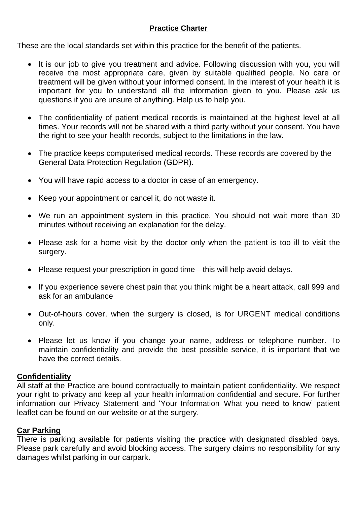# **Practice Charter**

These are the local standards set within this practice for the benefit of the patients.

- It is our job to give you treatment and advice. Following discussion with you, you will receive the most appropriate care, given by suitable qualified people. No care or treatment will be given without your informed consent. In the interest of your health it is important for you to understand all the information given to you. Please ask us questions if you are unsure of anything. Help us to help you.
- The confidentiality of patient medical records is maintained at the highest level at all times. Your records will not be shared with a third party without your consent. You have the right to see your health records, subject to the limitations in the law.
- The practice keeps computerised medical records. These records are covered by the General Data Protection Regulation (GDPR).
- You will have rapid access to a doctor in case of an emergency.
- Keep your appointment or cancel it, do not waste it.
- We run an appointment system in this practice. You should not wait more than 30 minutes without receiving an explanation for the delay.
- Please ask for a home visit by the doctor only when the patient is too ill to visit the surgery.
- Please request your prescription in good time—this will help avoid delays.
- If you experience severe chest pain that you think might be a heart attack, call 999 and ask for an ambulance
- Out-of-hours cover, when the surgery is closed, is for URGENT medical conditions only.
- Please let us know if you change your name, address or telephone number. To maintain confidentiality and provide the best possible service, it is important that we have the correct details.

# **Confidentiality**

All staff at the Practice are bound contractually to maintain patient confidentiality. We respect your right to privacy and keep all your health information confidential and secure. For further information our Privacy Statement and 'Your Information–What you need to know' patient leaflet can be found on our website or at the surgery.

# **Car Parking**

There is parking available for patients visiting the practice with designated disabled bays. Please park carefully and avoid blocking access. The surgery claims no responsibility for any damages whilst parking in our carpark.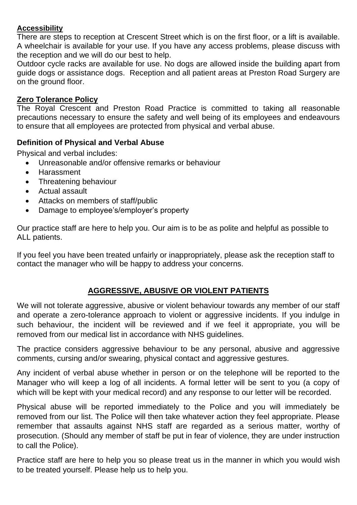# **Accessibility**

There are steps to reception at Crescent Street which is on the first floor, or a lift is available. A wheelchair is available for your use. If you have any access problems, please discuss with the reception and we will do our best to help.

Outdoor cycle racks are available for use. No dogs are allowed inside the building apart from guide dogs or assistance dogs. Reception and all patient areas at Preston Road Surgery are on the ground floor.

# **Zero Tolerance Policy**

The Royal Crescent and Preston Road Practice is committed to taking all reasonable precautions necessary to ensure the safety and well being of its employees and endeavours to ensure that all employees are protected from physical and verbal abuse.

# **Definition of Physical and Verbal Abuse**

Physical and verbal includes:

- Unreasonable and/or offensive remarks or behaviour
- Harassment
- Threatening behaviour
- Actual assault
- Attacks on members of staff/public
- Damage to employee's/employer's property

Our practice staff are here to help you. Our aim is to be as polite and helpful as possible to ALL patients.

If you feel you have been treated unfairly or inappropriately, please ask the reception staff to contact the manager who will be happy to address your concerns.

# **AGGRESSIVE, ABUSIVE OR VIOLENT PATIENTS**

We will not tolerate aggressive, abusive or violent behaviour towards any member of our staff and operate a zero-tolerance approach to violent or aggressive incidents. If you indulge in such behaviour, the incident will be reviewed and if we feel it appropriate, you will be removed from our medical list in accordance with NHS guidelines.

The practice considers aggressive behaviour to be any personal, abusive and aggressive comments, cursing and/or swearing, physical contact and aggressive gestures.

Any incident of verbal abuse whether in person or on the telephone will be reported to the Manager who will keep a log of all incidents. A formal letter will be sent to you (a copy of which will be kept with your medical record) and any response to our letter will be recorded.

Physical abuse will be reported immediately to the Police and you will immediately be removed from our list. The Police will then take whatever action they feel appropriate. Please remember that assaults against NHS staff are regarded as a serious matter, worthy of prosecution. (Should any member of staff be put in fear of violence, they are under instruction to call the Police).

Practice staff are here to help you so please treat us in the manner in which you would wish to be treated yourself. Please help us to help you.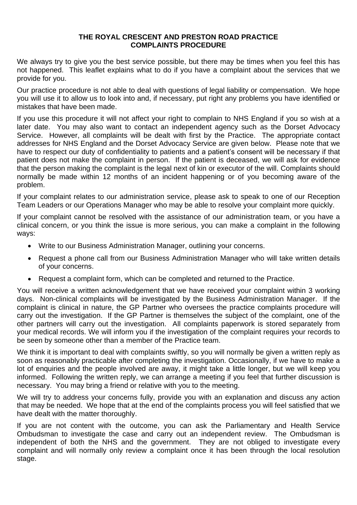#### **THE ROYAL CRESCENT AND PRESTON ROAD PRACTICE COMPLAINTS PROCEDURE**

We always try to give you the best service possible, but there may be times when you feel this has not happened. This leaflet explains what to do if you have a complaint about the services that we provide for you.

Our practice procedure is not able to deal with questions of legal liability or compensation. We hope you will use it to allow us to look into and, if necessary, put right any problems you have identified or mistakes that have been made.

If you use this procedure it will not affect your right to complain to NHS England if you so wish at a later date. You may also want to contact an independent agency such as the Dorset Advocacy Service. However, all complaints will be dealt with first by the Practice. The appropriate contact addresses for NHS England and the Dorset Advocacy Service are given below. Please note that we have to respect our duty of confidentiality to patients and a patient's consent will be necessary if that patient does not make the complaint in person. If the patient is deceased, we will ask for evidence that the person making the complaint is the legal next of kin or executor of the will. Complaints should normally be made within 12 months of an incident happening or of you becoming aware of the problem.

If your complaint relates to our administration service, please ask to speak to one of our Reception Team Leaders or our Operations Manager who may be able to resolve your complaint more quickly.

If your complaint cannot be resolved with the assistance of our administration team, or you have a clinical concern, or you think the issue is more serious, you can make a complaint in the following ways:

- Write to our Business Administration Manager, outlining your concerns.
- Request a phone call from our Business Administration Manager who will take written details of your concerns.
- Request a complaint form, which can be completed and returned to the Practice.

You will receive a written acknowledgement that we have received your complaint within 3 working days. Non-clinical complaints will be investigated by the Business Administration Manager. If the complaint is clinical in nature, the GP Partner who oversees the practice complaints procedure will carry out the investigation. If the GP Partner is themselves the subject of the complaint, one of the other partners will carry out the investigation. All complaints paperwork is stored separately from your medical records. We will inform you if the investigation of the complaint requires your records to be seen by someone other than a member of the Practice team.

We think it is important to deal with complaints swiftly, so you will normally be given a written reply as soon as reasonably practicable after completing the investigation. Occasionally, if we have to make a lot of enquiries and the people involved are away, it might take a little longer, but we will keep you informed. Following the written reply, we can arrange a meeting if you feel that further discussion is necessary. You may bring a friend or relative with you to the meeting.

We will try to address your concerns fully, provide you with an explanation and discuss any action that may be needed. We hope that at the end of the complaints process you will feel satisfied that we have dealt with the matter thoroughly.

If you are not content with the outcome, you can ask the Parliamentary and Health Service Ombudsman to investigate the case and carry out an independent review. The Ombudsman is independent of both the NHS and the government. They are not obliged to investigate every complaint and will normally only review a complaint once it has been through the local resolution stage.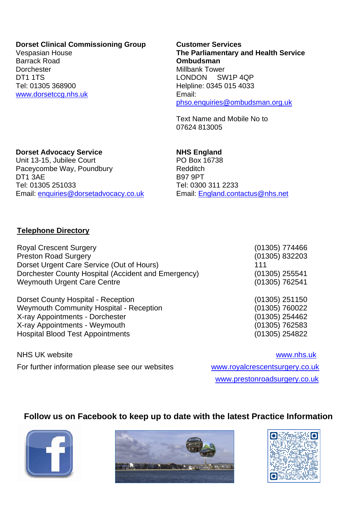#### **Dorset Clinical Commissioning Group**

Vespasian House Barrack Road **Dorchester** DT1 1TS Tel: 01305 368900 [www.dorsetccg.nhs.uk](http://www.dorsetccg.nhs.uk/) **Customer Services The Parliamentary and Health Service Ombudsman** Millbank Tower LONDON SW1P 4QP Helpline: 0345 015 4033 Email: [phso.enquiries@ombudsman.org.uk](mailto:phso.enquiries@ombudsman.org.uk)

Text Name and Mobile No to 07624 813005

#### **Dorset Advocacy Service**

Unit 13-15, Jubilee Court Paceycombe Way, Poundbury DT1 3AE Tel: 01305 251033 Email: [enquiries@dorsetadvocacy.co.uk](mailto:enquiries@dorsetadvocacy.co.uk)

#### **NHS England**

PO Box 16738 Redditch B97 9PT Tel: 0300 311 2233 Email: [England.contactus@nhs.net](mailto:England.contactus@nhs.net)

# **Telephone Directory**

Royal Crescent Surgery (01305) 774466 Preston Road Surgery (01305) 832203 Dorset Urgent Care Service (Out of Hours) 111 Dorchester County Hospital (Accident and Emergency) (01305) 255541 Weymouth Urgent Care Centre (01305) 762541

Dorset County Hospital - Reception (01305) 251150 Weymouth Community Hospital - Reception (01305) 760022 X-ray Appointments - Dorchester (01305) 254462 X-ray Appointments - Weymouth (01305) 762583 Hospital Blood Test Appointments (01305) 254822

NHS UK website [www.nhs.uk](http://www.nhs.uk/) For further information please see our websites [www.royalcrescentsurgery.co.uk](http://www.royalcrescentsurgery.co.uk/)

[www.prestonroadsurgery.co.uk](http://www.prestonroadsurgery.co.uk/)

# **Follow us on Facebook to keep up to date with the latest Practice Information**